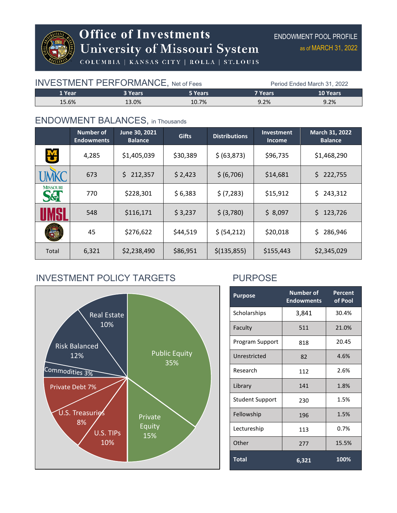

# **Office of Investments<br>University of Missouri System**

ENDOWMENT POOL PROFILE as of MARCH 31, 2022

COLUMBIA | KANSAS CITY | ROLLA | ST.LOUIS

| <b>INVESTMENT PERFORMANCE, Net of Fees</b> |         |         | Period Ended March 31, 2022 |                 |  |
|--------------------------------------------|---------|---------|-----------------------------|-----------------|--|
| 1 Year                                     | 3 Years | 5 Years | 7 Years                     | <b>10 Years</b> |  |
| 15.6%                                      | 13.0%   | 10.7%   | 9.2%                        | 9.2%            |  |

#### ENDOWMENT BALANCES, in Thousands

|                                   | Number of<br><b>Endowments</b> | June 30, 2021<br><b>Balance</b> | <b>Gifts</b> | <b>Distributions</b> | <b>Investment</b><br><b>Income</b> | March 31, 2022<br><b>Balance</b> |
|-----------------------------------|--------------------------------|---------------------------------|--------------|----------------------|------------------------------------|----------------------------------|
| 凶                                 | 4,285                          | \$1,405,039                     | \$30,389     | \$ (63,873)          | \$96,735                           | \$1,468,290                      |
|                                   | 673                            | \$<br>212,357                   | \$2,423      | \$ (6,706)           | \$14,681                           | \$<br>222,755                    |
| <b>MISSOURI</b><br><b>S&amp;T</b> | 770                            | \$228,301                       | \$6,383      | \$ (7,283)           | \$15,912                           | \$<br>243,312                    |
|                                   | 548                            | \$116,171                       | \$3,237      | \$ (3,780)           | \$8,097                            | \$123,726                        |
|                                   | 45                             | \$276,622                       | \$44,519     | \$ (54, 212)         | \$20,018                           | \$<br>286,946                    |
| Total                             | 6,321                          | \$2,238,490                     | \$86,951     | \$(135, 855)         | \$155,443                          | \$2,345,029                      |

# INVESTMENT POLICY TARGETS PURPOSE



| <b>Purpose</b>         | <b>Number of</b><br><b>Endowments</b> | Percent<br>of Pool |  |
|------------------------|---------------------------------------|--------------------|--|
| Scholarships           | 3,841                                 | 30.4%              |  |
| Faculty                | 511                                   | 21.0%              |  |
| Program Support        | 818                                   | 20.45              |  |
| Unrestricted           | 82                                    | 4.6%               |  |
| Research               | 112                                   | 2.6%               |  |
| Library                | 141                                   | 1.8%               |  |
| <b>Student Support</b> | 230                                   | 1.5%               |  |
| Fellowship             | 196                                   | 1.5%               |  |
| Lectureship            | 113                                   | 0.7%               |  |
| Other                  | 277                                   | 15.5%              |  |
| <b>Total</b>           | 6,321                                 | 100%               |  |